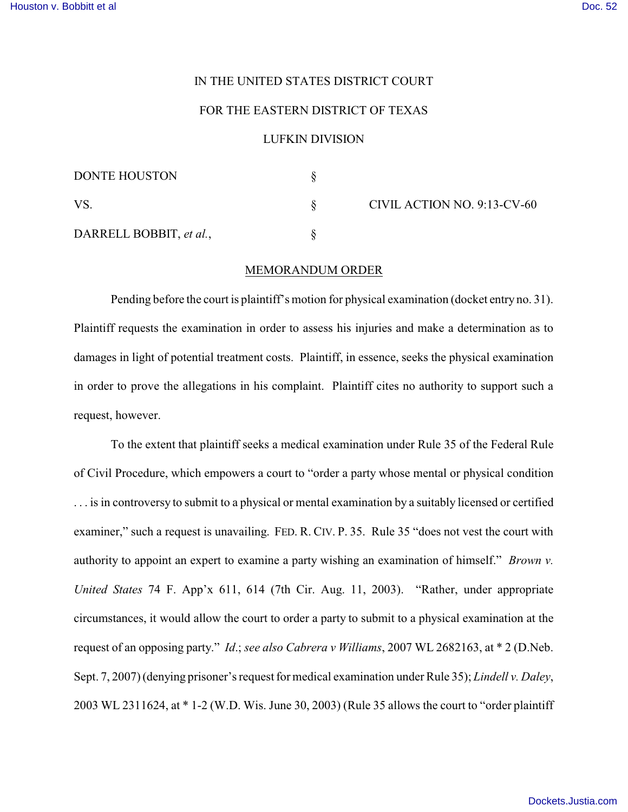## IN THE UNITED STATES DISTRICT COURT

## FOR THE EASTERN DISTRICT OF TEXAS

## LUFKIN DIVISION

| <b>DONTE HOUSTON</b>    |  | CIVIL ACTION NO. 9:13-CV-60 |
|-------------------------|--|-----------------------------|
| VS                      |  |                             |
| DARRELL BOBBIT, et al., |  |                             |

## MEMORANDUM ORDER

Pending before the court is plaintiff's motion for physical examination (docket entry no. 31). Plaintiff requests the examination in order to assess his injuries and make a determination as to damages in light of potential treatment costs. Plaintiff, in essence, seeks the physical examination in order to prove the allegations in his complaint. Plaintiff cites no authority to support such a request, however.

To the extent that plaintiff seeks a medical examination under Rule 35 of the Federal Rule of Civil Procedure, which empowers a court to "order a party whose mental or physical condition . . . is in controversy to submit to a physical or mental examination by a suitably licensed or certified examiner," such a request is unavailing. FED. R. CIV. P. 35. Rule 35 "does not vest the court with authority to appoint an expert to examine a party wishing an examination of himself." *Brown v. United States* 74 F. App'x 611, 614 (7th Cir. Aug. 11, 2003). "Rather, under appropriate circumstances, it would allow the court to order a party to submit to a physical examination at the request of an opposing party." *Id*.; *see also Cabrera v Williams*, 2007 WL 2682163, at \* 2 (D.Neb. Sept. 7, 2007) (denying prisoner's request for medical examination under Rule 35); *Lindell v. Daley*, 2003 WL 2311624, at \* 1-2 (W.D. Wis. June 30, 2003) (Rule 35 allows the court to "order plaintiff